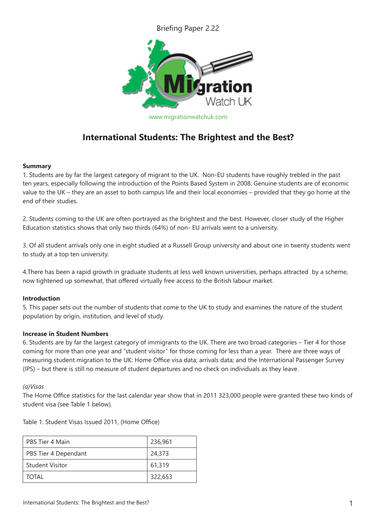Briefing Paper 2.22



# **International Students: The Brightest and the Best?**

## **Summary**

1. Students are by far the largest category of migrant to the UK. Non-EU students have roughly trebled in the past ten years, especially following the introduction of the Points Based System in 2008. Genuine students are of economic value to the UK – they are an asset to both campus life and their local economies – provided that they go home at the end of their studies.

2. Students coming to the UK are often portrayed as the brightest and the best. However, closer study of the Higher Education statistics shows that only two thirds (64%) of non- EU arrivals went to a university.

3. Of all student arrivals only one in eight studied at a Russell Group university and about one in twenty students went to study at a top ten university.

4.There has been a rapid growth in graduate students at less well known universities, perhaps attracted by a scheme, now tightened up somewhat, that offered virtually free access to the British labour market.

## **Introduction**

5. This paper sets out the number of students that come to the UK to study and examines the nature of the student population by origin, institution, and level of study.

## **Increase in Student Numbers**

6. Students are by far the largest category of immigrants to the UK. There are two broad categories – Tier 4 for those coming for more than one year and "student visitor" for those coming for less than a year. There are three ways of measuring student migration to the UK: Home Office visa data; arrivals data; and the International Passenger Survey (IPS) – but there is still no measure of student departures and no check on individuals as they leave.

## *(a)Visas*

The Home Office statistics for the last calendar year show that in 2011 323,000 people were granted these two kinds of student visa (see Table 1 below).

Table 1. Student Visas Issued 2011, (Home Office)

| PBS Tier 4 Main        | 236,961 |
|------------------------|---------|
| PBS Tier 4 Dependant   | 24,373  |
| <b>Student Visitor</b> | 61,319  |
| TOTAL                  | 322,653 |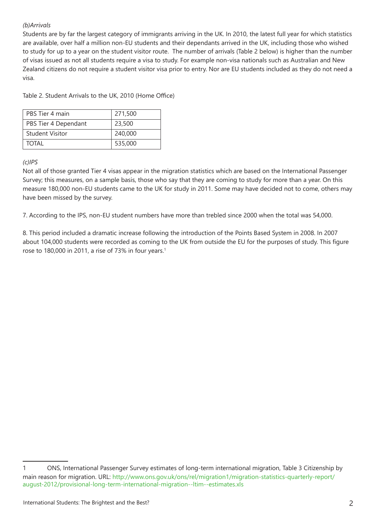## *(b)Arrivals*

Students are by far the largest category of immigrants arriving in the UK. In 2010, the latest full year for which statistics are available, over half a million non-EU students and their dependants arrived in the UK, including those who wished to study for up to a year on the student visitor route. The number of arrivals (Table 2 below) is higher than the number of visas issued as not all students require a visa to study. For example non-visa nationals such as Australian and New Zealand citizens do not require a student visitor visa prior to entry. Nor are EU students included as they do not need a visa.

Table 2. Student Arrivals to the UK, 2010 (Home Office)

| PBS Tier 4 main      | 271,500 |
|----------------------|---------|
| PBS Tier 4 Dependant | 23,500  |
| l Student Visitor    | 240,000 |
| <b>TOTAL</b>         | 535,000 |

#### *(c)IPS*

Not all of those granted Tier 4 visas appear in the migration statistics which are based on the International Passenger Survey; this measures, on a sample basis, those who say that they are coming to study for more than a year. On this measure 180,000 non-EU students came to the UK for study in 2011. Some may have decided not to come, others may have been missed by the survey.

7. According to the IPS, non-EU student numbers have more than trebled since 2000 when the total was 54,000.

8. This period included a dramatic increase following the introduction of the Points Based System in 2008. In 2007 about 104,000 students were recorded as coming to the UK from outside the EU for the purposes of study. This figure rose to 180,000 in 2011, a rise of 73% in four years.<sup>1</sup>

<sup>1</sup> ONS, International Passenger Survey estimates of long-term international migration, Table 3 Citizenship by main reason for migration. URL: http://www.ons.gov.uk/ons/rel/migration1/migration-statistics-quarterly-report/ august-2012/provisional-long-term-international-migration--ltim--estimates.xls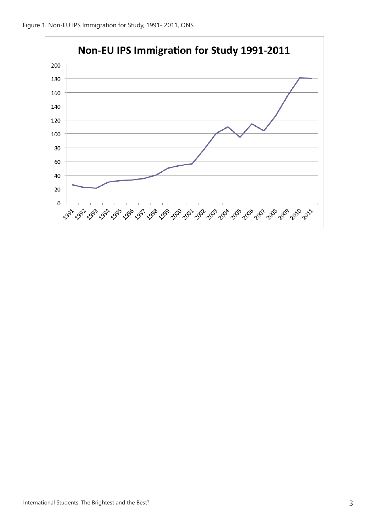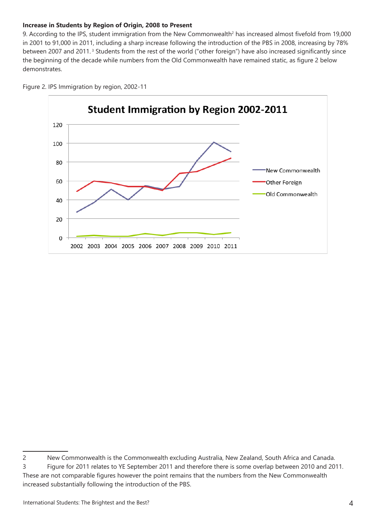## **Increase in Students by Region of Origin, 2008 to Present**

9. According to the IPS, student immigration from the New Commonwealth<sup>2</sup> has increased almost fivefold from 19,000 in 2001 to 91,000 in 2011, including a sharp increase following the introduction of the PBS in 2008, increasing by 78% between 2007 and 2011.<sup>3</sup> Students from the rest of the world ("other foreign") have also increased significantly since the beginning of the decade while numbers from the Old Commonwealth have remained static, as figure 2 below demonstrates.



Figure 2. IPS Immigration by region, 2002-11

<sup>2</sup> New Commonwealth is the Commonwealth excluding Australia, New Zealand, South Africa and Canada. 3 Figure for 2011 relates to YE September 2011 and therefore there is some overlap between 2010 and 2011. These are not comparable figures however the point remains that the numbers from the New Commonwealth increased substantially following the introduction of the PBS.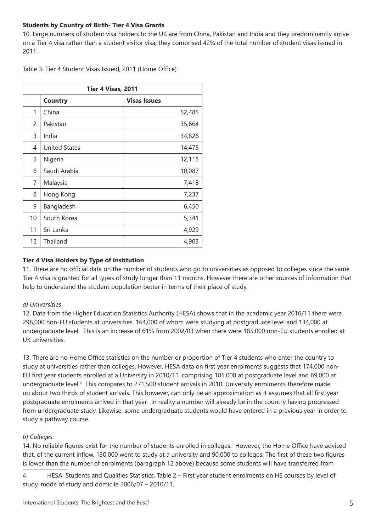## **Students by Country of Birth- Tier 4 Visa Grants**

10. Large numbers of student visa holders to the UK are from China, Pakistan and India and they predominantly arrive on a Tier 4 visa rather than a student visitor visa; they comprised 42% of the total number of student visas issued in 2011.

Table 3. Tier 4 Student Visas Issued, 2011 (Home Office)

| Tier 4 Visas, 2011 |                      |                     |  |  |  |  |  |
|--------------------|----------------------|---------------------|--|--|--|--|--|
|                    | <b>Country</b>       | <b>Visas Issues</b> |  |  |  |  |  |
| 1                  | China                | 52,485              |  |  |  |  |  |
| $\overline{2}$     | Pakistan             | 35,664              |  |  |  |  |  |
| 3                  | India                | 34,826              |  |  |  |  |  |
| 4                  | <b>United States</b> | 14,475              |  |  |  |  |  |
| 5                  | Nigeria              | 12,115              |  |  |  |  |  |
| 6                  | Saudi Arabia         | 10,087              |  |  |  |  |  |
| 7                  | Malaysia             | 7,418               |  |  |  |  |  |
| 8                  | Hong Kong            | 7,237               |  |  |  |  |  |
| 9                  | Bangladesh           | 6,450               |  |  |  |  |  |
| 10                 | South Korea          | 5,341               |  |  |  |  |  |
| 11                 | Sri Lanka            | 4,929               |  |  |  |  |  |
| 12                 | Thailand             | 4,903               |  |  |  |  |  |

## **Tier 4 Visa Holders by Type of Institution**

11. There are no official data on the number of students who go to universities as opposed to colleges since the same Tier 4 visa is granted for all types of study longer than 11 months. However there are other sources of information that help to understand the student population better in terms of their place of study.

## *a) Universities*

12. Data from the Higher Education Statistics Authority (HESA) shows that in the academic year 2010/11 there were 298,000 non-EU students at universities, 164,000 of whom were studying at postgraduate level and 134,000 at undergraduate level. This is an increase of 61% from 2002/03 when there were 185,000 non-EU students enrolled at UK universities.

13. There are no Home Office statistics on the number or proportion of Tier 4 students who enter the country to study at universities rather than colleges. However, HESA data on first year enrolments suggests that 174,000 non-EU first year students enrolled at a University in 2010/11, comprising 105,000 at postgraduate level and 69,000 at undergraduate level.4 This compares to 271,500 student arrivals in 2010. University enrolments therefore made up about two thirds of student arrivals. This however, can only be an approximation as it assumes that all first year postgraduate enrolments arrived in that year. In reality a number will already be in the country having progressed from undergraduate study. Likewise, some undergraduate students would have entered in a previous year in order to study a pathway course.

# *b) Colleges*

14. No reliable figures exist for the number of students enrolled in colleges. However, the Home Office have advised that, of the current inflow, 130,000 went to study at a university and 90,000 to colleges. The first of these two figures is lower than the number of enrolments (paragraph 12 above) because some students will have transferred from

4 HESA, Students and Qualifies Statistics, Table 2 – First year student enrolments on HE courses by level of study, mode of study and domicile 2006/07 – 2010/11.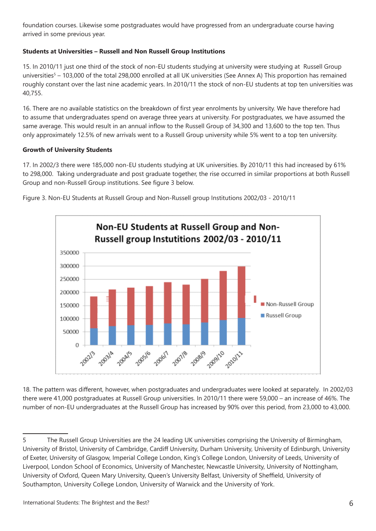foundation courses. Likewise some postgraduates would have progressed from an undergraduate course having arrived in some previous year.

# **Students at Universities – Russell and Non Russell Group Institutions**

15. In 2010/11 just one third of the stock of non-EU students studying at university were studying at Russell Group universities<sup>5</sup> – 103,000 of the total 298,000 enrolled at all UK universities (See Annex A) This proportion has remained roughly constant over the last nine academic years. In 2010/11 the stock of non-EU students at top ten universities was 40,755.

16. There are no available statistics on the breakdown of first year enrolments by university. We have therefore had to assume that undergraduates spend on average three years at university. For postgraduates, we have assumed the same average. This would result in an annual inflow to the Russell Group of 34,300 and 13,600 to the top ten. Thus only approximately 12.5% of new arrivals went to a Russell Group university while 5% went to a top ten university.

## **Growth of University Students**

17. In 2002/3 there were 185,000 non-EU students studying at UK universities. By 2010/11 this had increased by 61% to 298,000. Taking undergraduate and post graduate together, the rise occurred in similar proportions at both Russell Group and non-Russell Group institutions. See figure 3 below.

Figure 3. Non-EU Students at Russell Group and Non-Russell group Institutions 2002/03 - 2010/11



18. The pattern was different, however, when postgraduates and undergraduates were looked at separately. In 2002/03 there were 41,000 postgraduates at Russell Group universities. In 2010/11 there were 59,000 – an increase of 46%. The number of non-EU undergraduates at the Russell Group has increased by 90% over this period, from 23,000 to 43,000.

<sup>5</sup> The Russell Group Universities are the 24 leading UK universities comprising the University of Birmingham, University of Bristol, University of Cambridge, Cardiff University, Durham University, University of Edinburgh, University of Exeter, University of Glasgow, Imperial College London, King's College London, University of Leeds, University of Liverpool, London School of Economics, University of Manchester, Newcastle University, University of Nottingham, University of Oxford, Queen Mary University, Queen's University Belfast, University of Sheffield, University of Southampton, University College London, University of Warwick and the University of York.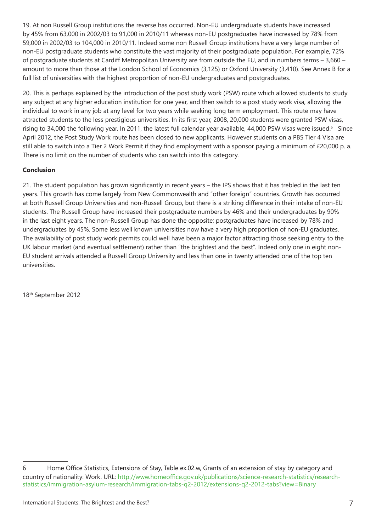19. At non Russell Group institutions the reverse has occurred. Non-EU undergraduate students have increased by 45% from 63,000 in 2002/03 to 91,000 in 2010/11 whereas non-EU postgraduates have increased by 78% from 59,000 in 2002/03 to 104,000 in 2010/11. Indeed some non Russell Group institutions have a very large number of non-EU postgraduate students who constitute the vast majority of their postgraduate population. For example, 72% of postgraduate students at Cardiff Metropolitan University are from outside the EU, and in numbers terms – 3,660 – amount to more than those at the London School of Economics (3,125) or Oxford University (3,410). See Annex B for a full list of universities with the highest proportion of non-EU undergraduates and postgraduates.

20. This is perhaps explained by the introduction of the post study work (PSW) route which allowed students to study any subject at any higher education institution for one year, and then switch to a post study work visa, allowing the individual to work in any job at any level for two years while seeking long term employment. This route may have attracted students to the less prestigious universities. In its first year, 2008, 20,000 students were granted PSW visas, rising to 34,000 the following year. In 2011, the latest full calendar year available, 44,000 PSW visas were issued.<sup>6</sup> Since April 2012, the Post Study Work route has been closed to new applicants. However students on a PBS Tier 4 Visa are still able to switch into a Tier 2 Work Permit if they find employment with a sponsor paying a minimum of £20,000 p. a. There is no limit on the number of students who can switch into this category.

# **Conclusion**

21. The student population has grown significantly in recent years – the IPS shows that it has trebled in the last ten years. This growth has come largely from New Commonwealth and "other foreign" countries. Growth has occurred at both Russell Group Universities and non-Russell Group, but there is a striking difference in their intake of non-EU students. The Russell Group have increased their postgraduate numbers by 46% and their undergraduates by 90% in the last eight years. The non-Russell Group has done the opposite; postgraduates have increased by 78% and undergraduates by 45%. Some less well known universities now have a very high proportion of non-EU graduates. The availability of post study work permits could well have been a major factor attracting those seeking entry to the UK labour market (and eventual settlement) rather than "the brightest and the best". Indeed only one in eight non-EU student arrivals attended a Russell Group University and less than one in twenty attended one of the top ten universities.

18th September 2012

<sup>6</sup> Home Office Statistics, Extensions of Stay, Table ex.02.w, Grants of an extension of stay by category and country of nationality: Work. URL: http://www.homeoffice.gov.uk/publications/science-research-statistics/researchstatistics/immigration-asylum-research/immigration-tabs-q2-2012/extensions-q2-2012-tabs?view=Binary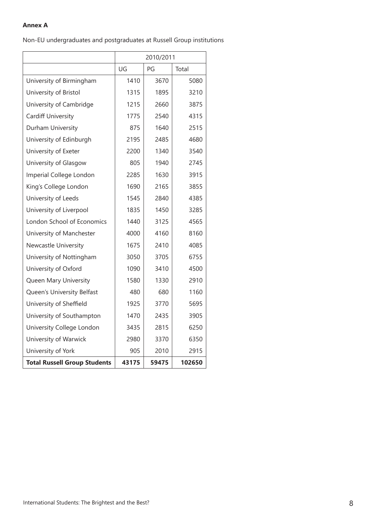## **Annex A**

Non-EU undergraduates and postgraduates at Russell Group institutions

|                                     | 2010/2011 |       |        |  |  |  |
|-------------------------------------|-----------|-------|--------|--|--|--|
|                                     | UG        | Total |        |  |  |  |
| University of Birmingham            | 1410      | 3670  | 5080   |  |  |  |
| University of Bristol               | 1315      | 1895  | 3210   |  |  |  |
| University of Cambridge             | 1215      | 2660  | 3875   |  |  |  |
| Cardiff University                  | 1775      | 2540  | 4315   |  |  |  |
| Durham University                   | 875       | 1640  | 2515   |  |  |  |
| University of Edinburgh             | 2195      | 2485  | 4680   |  |  |  |
| University of Exeter                | 2200      | 1340  | 3540   |  |  |  |
| University of Glasgow               | 805       | 1940  | 2745   |  |  |  |
| Imperial College London             | 2285      | 1630  | 3915   |  |  |  |
| King's College London               | 1690      | 2165  | 3855   |  |  |  |
| University of Leeds                 | 1545      | 2840  | 4385   |  |  |  |
| University of Liverpool             | 1835      | 1450  | 3285   |  |  |  |
| London School of Economics          | 1440      | 3125  | 4565   |  |  |  |
| University of Manchester            | 4000      | 4160  | 8160   |  |  |  |
| <b>Newcastle University</b>         | 1675      | 2410  | 4085   |  |  |  |
| University of Nottingham            | 3050      | 3705  | 6755   |  |  |  |
| University of Oxford                | 1090      | 3410  | 4500   |  |  |  |
| Queen Mary University               | 1580      | 1330  | 2910   |  |  |  |
| Queen's University Belfast          | 480       | 680   | 1160   |  |  |  |
| University of Sheffield             | 1925      | 3770  | 5695   |  |  |  |
| University of Southampton           | 1470      | 2435  | 3905   |  |  |  |
| University College London           | 3435      | 2815  | 6250   |  |  |  |
| University of Warwick               | 2980      | 3370  | 6350   |  |  |  |
| University of York                  | 905       | 2010  | 2915   |  |  |  |
| <b>Total Russell Group Students</b> | 43175     | 59475 | 102650 |  |  |  |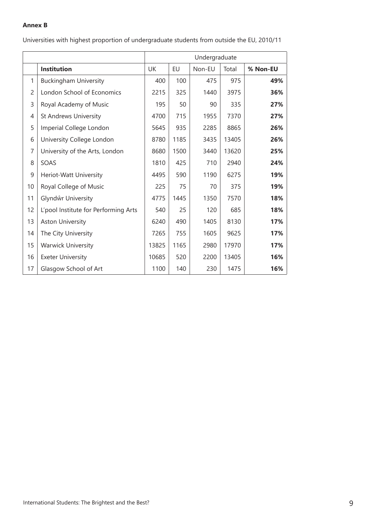## **Annex B**

|                |                                      | Undergraduate |      |        |       |          |  |
|----------------|--------------------------------------|---------------|------|--------|-------|----------|--|
|                | <b>Institution</b>                   | UK            | EU   | Non-EU | Total | % Non-EU |  |
| 1              | <b>Buckingham University</b>         | 400           | 100  | 475    | 975   | 49%      |  |
| $\overline{c}$ | London School of Economics           | 2215          | 325  | 1440   | 3975  | 36%      |  |
| 3              | Royal Academy of Music               | 195           | 50   | 90     | 335   | 27%      |  |
| 4              | <b>St Andrews University</b>         | 4700          | 715  | 1955   | 7370  | 27%      |  |
| 5              | Imperial College London              | 5645          | 935  | 2285   | 8865  | 26%      |  |
| 6              | University College London            | 8780          | 1185 | 3435   | 13405 | 26%      |  |
| $\overline{7}$ | University of the Arts, London       | 8680          | 1500 | 3440   | 13620 | 25%      |  |
| 8              | SOAS                                 | 1810          | 425  | 710    | 2940  | 24%      |  |
| 9              | Heriot-Watt University               | 4495          | 590  | 1190   | 6275  | 19%      |  |
| 10             | Royal College of Music               | 225           | 75   | 70     | 375   | 19%      |  |
| 11             | Glyndŵr University                   | 4775          | 1445 | 1350   | 7570  | 18%      |  |
| 12             | L'pool Institute for Performing Arts | 540           | 25   | 120    | 685   | 18%      |  |
| 13             | <b>Aston University</b>              | 6240          | 490  | 1405   | 8130  | 17%      |  |
| 14             | The City University                  | 7265          | 755  | 1605   | 9625  | 17%      |  |
| 15             | <b>Warwick University</b>            | 13825         | 1165 | 2980   | 17970 | 17%      |  |
| 16             | <b>Exeter University</b>             | 10685         | 520  | 2200   | 13405 | 16%      |  |
| 17             | Glasgow School of Art                | 1100          | 140  | 230    | 1475  | 16%      |  |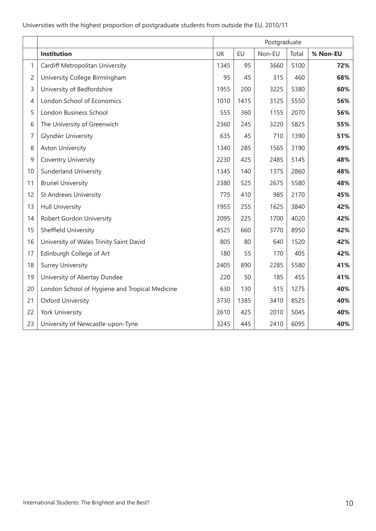|                |                                                | Postgraduate                            |      |      |      |     |  |
|----------------|------------------------------------------------|-----------------------------------------|------|------|------|-----|--|
|                | Institution                                    | UK<br>EU<br>Non-EU<br>% Non-EU<br>Total |      |      |      |     |  |
| 1              | Cardiff Metropolitan University                | 1345                                    | 95   | 3660 | 5100 | 72% |  |
| $\overline{c}$ | University College Birmingham                  | 95                                      | 45   | 315  | 460  | 68% |  |
| 3              | University of Bedfordshire                     | 1955                                    | 200  | 3225 | 5380 | 60% |  |
| 4              | London School of Economics                     | 1010                                    | 1415 | 3125 | 5550 | 56% |  |
| 5              | London Business School                         | 555                                     | 360  | 1155 | 2070 | 56% |  |
| 6              | The University of Greenwich                    | 2360                                    | 245  | 3220 | 5825 | 55% |  |
| 7              | Glyndŵr University                             | 635                                     | 45   | 710  | 1390 | 51% |  |
| 8              | <b>Aston University</b>                        | 1340                                    | 285  | 1565 | 3190 | 49% |  |
| 9              | Coventry University                            | 2230                                    | 425  | 2485 | 5145 | 48% |  |
| 10             | <b>Sunderland University</b>                   | 1345                                    | 140  | 1375 | 2860 | 48% |  |
| 11             | <b>Brunel University</b>                       | 2380                                    | 525  | 2675 | 5580 | 48% |  |
| 12             | <b>St Andrews University</b>                   | 775                                     | 410  | 985  | 2170 | 45% |  |
| 13             | <b>Hull University</b>                         | 1955                                    | 255  | 1625 | 3840 | 42% |  |
| 14             | Robert Gordon University                       | 2095                                    | 225  | 1700 | 4020 | 42% |  |
| 15             | Sheffield University                           | 4525                                    | 660  | 3770 | 8950 | 42% |  |
| 16             | University of Wales Trinity Saint David        | 805                                     | 80   | 640  | 1520 | 42% |  |
| 17             | Edinburgh College of Art                       | 180                                     | 55   | 170  | 405  | 42% |  |
| 18             | <b>Surrey University</b>                       | 2405                                    | 890  | 2285 | 5580 | 41% |  |
| 19             | University of Abertay Dundee                   | 220                                     | 50   | 185  | 455  | 41% |  |
| 20             | London School of Hygiene and Tropical Medicine | 630                                     | 130  | 515  | 1275 | 40% |  |
| 21             | <b>Oxford University</b>                       | 3730                                    | 1385 | 3410 | 8525 | 40% |  |
| 22             | York University                                | 2610                                    | 425  | 2010 | 5045 | 40% |  |
| 23             | University of Newcastle-upon-Tyne              | 3245                                    | 445  | 2410 | 6095 | 40% |  |